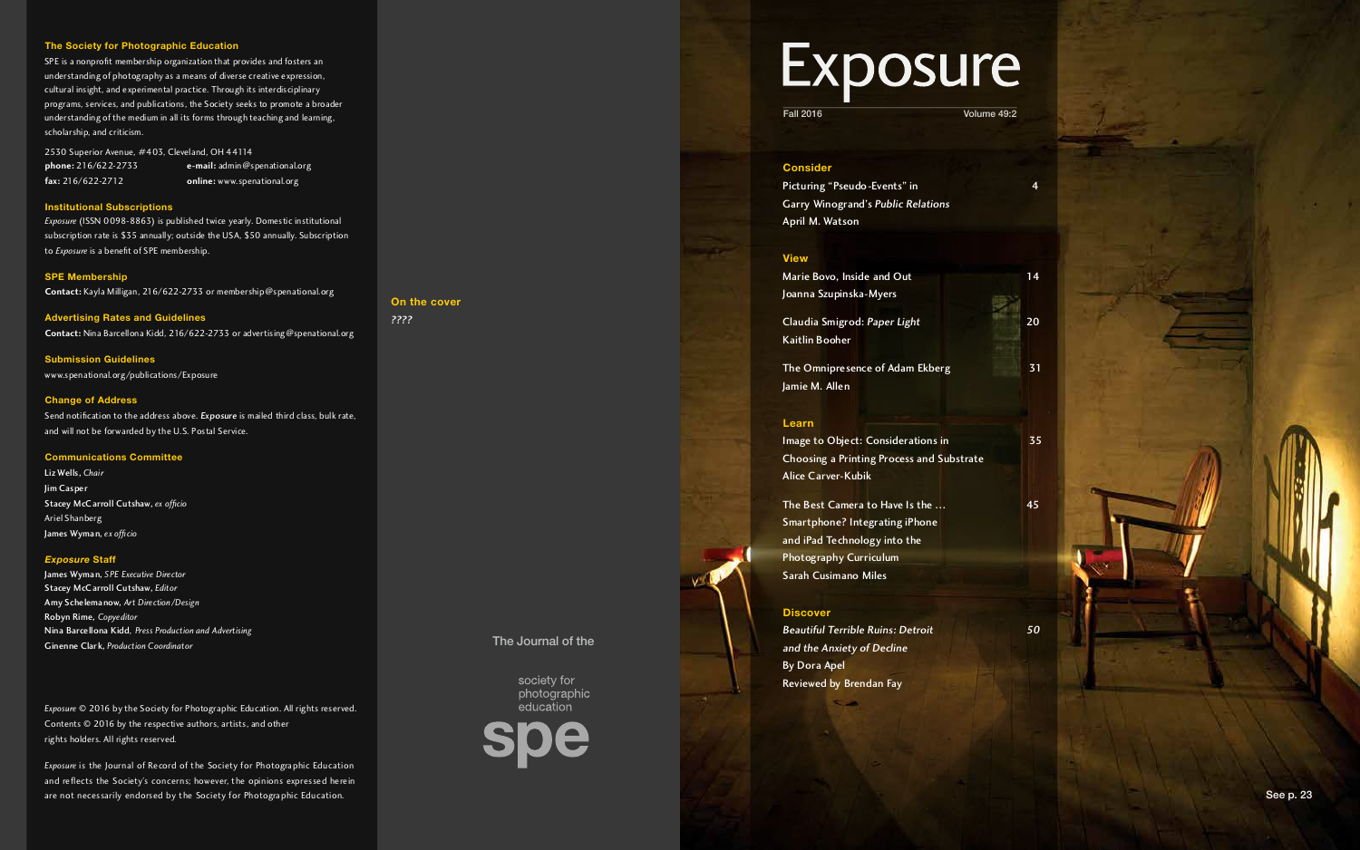#### **Consider**

Picturing "Pseudo-Events" in 4 Garry Winogrand's *Public Relations* April M. Watson

Marie Bovo, Inside and Out 14 Joanna Szupinska-Myers

#### **View**

The Omnipresence of Adam Ekberg **31** Jamie M. Allen

Claudia Smigrod: *Paper Light* <sup>20</sup> Kaitlin Booher

Image to Object: Considerations in 35 Choosing a Printing Process and Substrate Alice Carver-Kubik

The Best Camera to Have Is the ... 45 Smartphone? Integrating iPhone and iPad Technology into the Photography Curriculum Sarah Cusimano Miles

#### **Learn**

#### **Discover**

*Beautiful Terrible Ruins: Detroit 50 and the Anxiety of Decline* By Dora Apel Reviewed by Brendan Fay

2530 Superior Avenue, #403, Cleveland, OH 44114<br> **phone:** 216/622-2733 **e-mail:** admin@sp **phone:** 216/622-2733 **e-mail:** admin@spenational.org<br>**fax:** 216/622-2712 **online:** www.spenational.org **fax:** 216/622-2712 **online:** www.spenational.org



#### **The Society for Photographic Education**

SPE is a nonprofit membership organization that provides and fosters an understanding of photography as a means of diverse creative expression, cultural insight, and experimental practice. Through its interdisciplinary programs, services, and publications, the Society seeks to promote a broader understanding of the medium in all its forms through teaching and learning, scholarship, and criticism.

#### **Institutional Subscriptions**

*Exposure* (ISSN 0098-8863) is published twice yearly. Domestic institutional subscription rate is \$35 annually; outside the USA, \$50 annually. Subscription to *Exposure* is a benefit of SPE membership.

#### **SPE Membership**

**Contact:** Kayla Milligan, 216/622-2733 or membership@spenational.org

**Advertising Rates and Guidelines Contact:** Nina Barcellona Kidd, 216/622-2733 or advertising@spenational.org

**Submission Guidelines**  www.spenational.org/publications/Exposure

#### **Change of Address**

Send notification to the address above. Exposure is mailed third class, bulk rate, and will not be forwarded by the U.S. Postal Service.

#### **Communications Committee**

Liz Wells, *Chair* Jim Casper Stacey McCarroll Cutshaw, *ex officio* Ariel Shanberg James Wyman, *ex officio*

#### *Exposure* **Staff**

James Wyman, *SPE Executive Director* Stacey McCarroll Cutshaw, *Editor* Amy Schelemanow, *Art Direction/Design* Robyn Rime, *Copyeditor* Nina Barcellona Kidd*, Press Production and Advertising* Ginenne Clark, *Production Coordinator*

*Exposure* © 2016 by the Society for Photographic Education. All rights reserved. Contents © 2016 by the respective authors, artists, and other rights holders. All rights reserved.

*Exposure* is the Journal of Record of the Society for Photographic Education and reflects the Society's concerns; however, the opinions expressed herein are not necessarily endorsed by the Society for Photographic Education.

**On the cover**

*????*

#### The Journal of the

society for photographic education

# Exposure

Fall 2016 Volume 49:2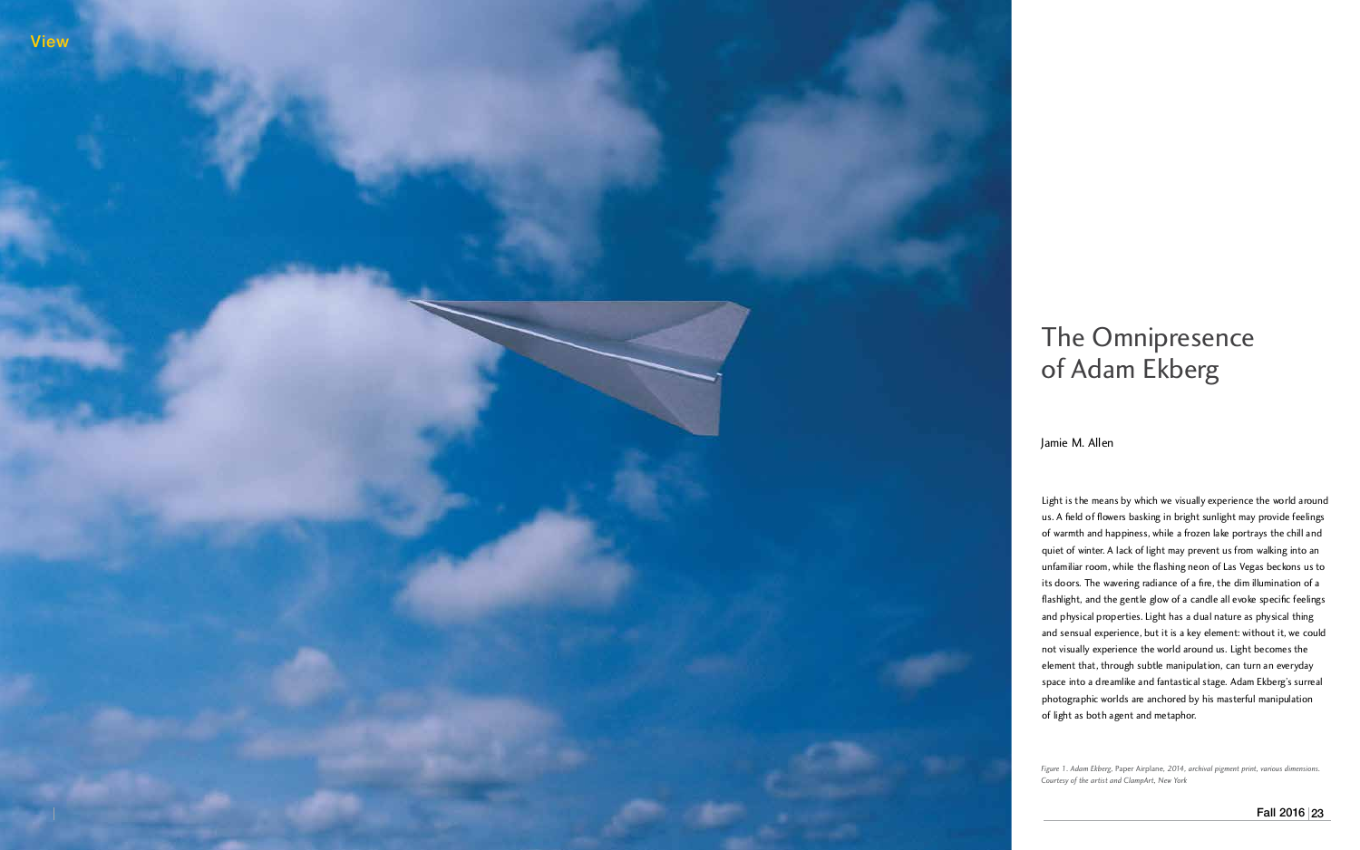Jamie M. Allen

## The Ommpresence of Adam Ekberg

Light is the means by which we visually experience the world around us. A field of flowers basking in bright sunlight may provide feelings of warmth and happiness, while a frozen lake portrays the chill and quiet of winter. A lack of light may prevent us from walking into an unfamiliar room, while the flashing neon of Las Vegas beckons us to its doors. The wavering radiance of a fire, the dim illumination of a flashlight, and the gentle glow of a candle all evoke specific feelings and physical properties. Light has a dual nature as physical thing and sensual experience, but it is a key element: without it, we could not visually experience the world around us. Light becomes the element that, through subtle manipulation, can turn an everyday space into a dreamlike and fantastical stage. Adam Ekberg's surreal photographic worlds are anchored by his masterful manipulation of light as both agent and metaphor.

*Figure 1. Adam Ekberg,* Paper Airplane Figure 1. Adam Ekberg, Paper Airplane, 2014, archival pigment print, various dimensions. *Courtesy of the artist and ClampArt, New York*

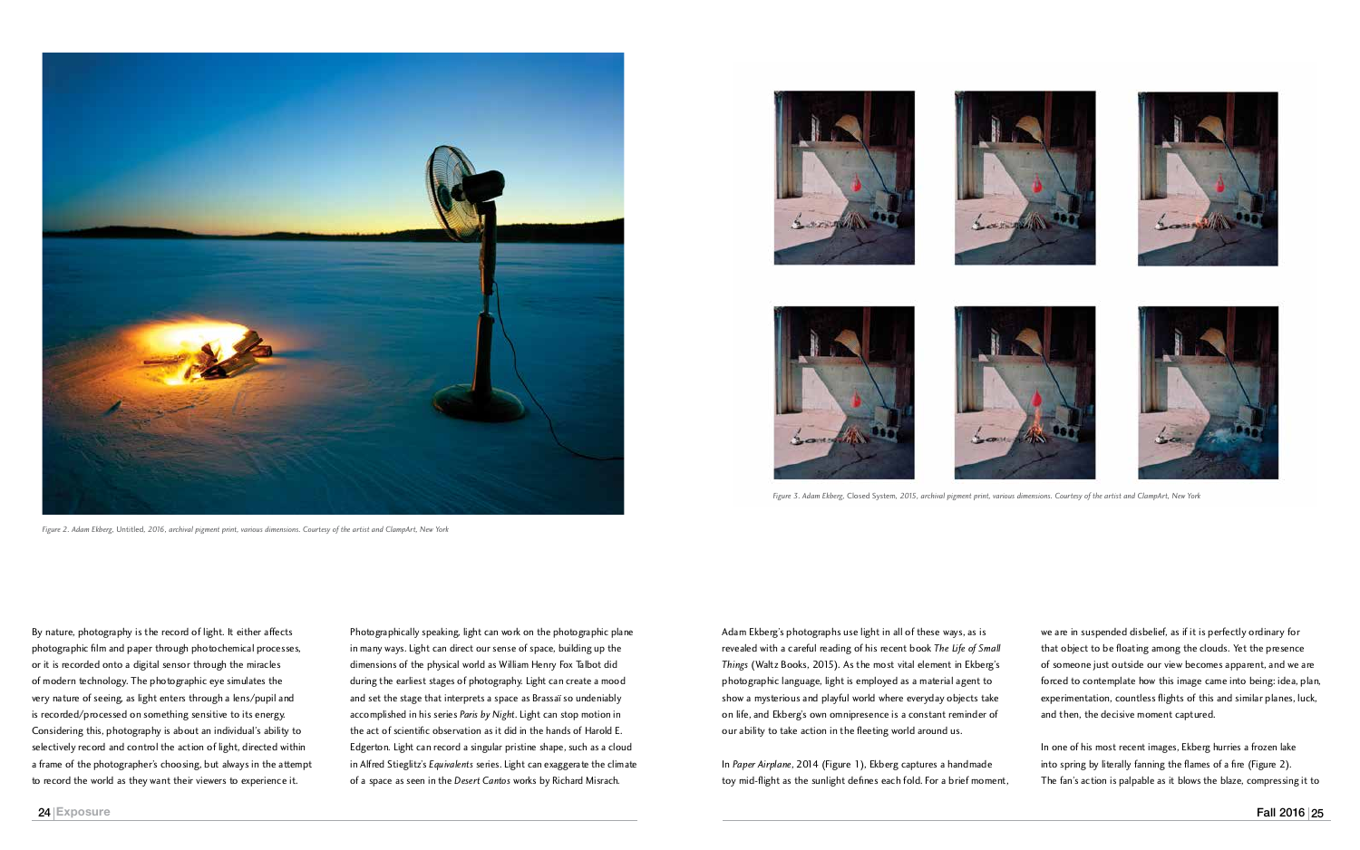we are in suspended disbelief, as if it is perfectly ordinary for that object to be floating among the clouds. Yet the presence of someone just outside our view becomes apparent, and we are forced to contemplate how this image came into being: idea, plan, experimentation, countless flights of this and similar planes, luck, and then, the decisive moment captured.

In one of his most recent images, Ekberg hurries a frozen lake into spring by literally fanning the flames of a fire (Figure 2). The fan's action is palpable as it blows the blaze, compressing it to

Adam Ekberg's photographs use light in all of these ways, as is revealed with a careful reading of his recent book *The Life of Small Things* (Waltz Books, 2015). As the most vital element in Ekberg's photographic language, light is employed as a material agent to show a mysterious and playful world where everyday objects take on life, and Ekberg's own omnipresence is a constant reminder of our ability to take action in the fleeting world around us.

In *Paper Airplane*, 2014 (Figure 1), Ekberg captures a handmade toy mid-flight as the sunlight defines each fold. For a brief moment,

*Figure 3. Adam Ekberg,* Closed System*, 2015, archival pigment print, various dimensions. Courtesy of the artist and ClampArt, New York*



By nature, photography is the record of light. It either affects photographic film and paper through photochemical processes, or it is recorded onto a digital sensor through the miracles

Photographically speaking, light can work on the photographic plane in many ways. Light can direct our sense of space, building up the dimensions of the physical world as William Henry Fox Talbot did during the earliest stages of photography. Light can create a mood and set the stage that interprets a space as Brassaï so undeniably accomplished in his series *Paris by Night*. Light can stop motion in the act of scientific observation as it did in the hands of Harold E. Edgerton. Light can record a singular pristine shape, such as a cloud in Alfred Stieglitz's *Equivalents* series. Light can exaggerate the climate of a space as seen in the *Desert Cantos* works by Richard Misrach.

*Figure 2. Adam Ekberg,* Untitled*, 2016, archival pigment print, various dimensions. Courtesy of the artist and ClampArt, New York*









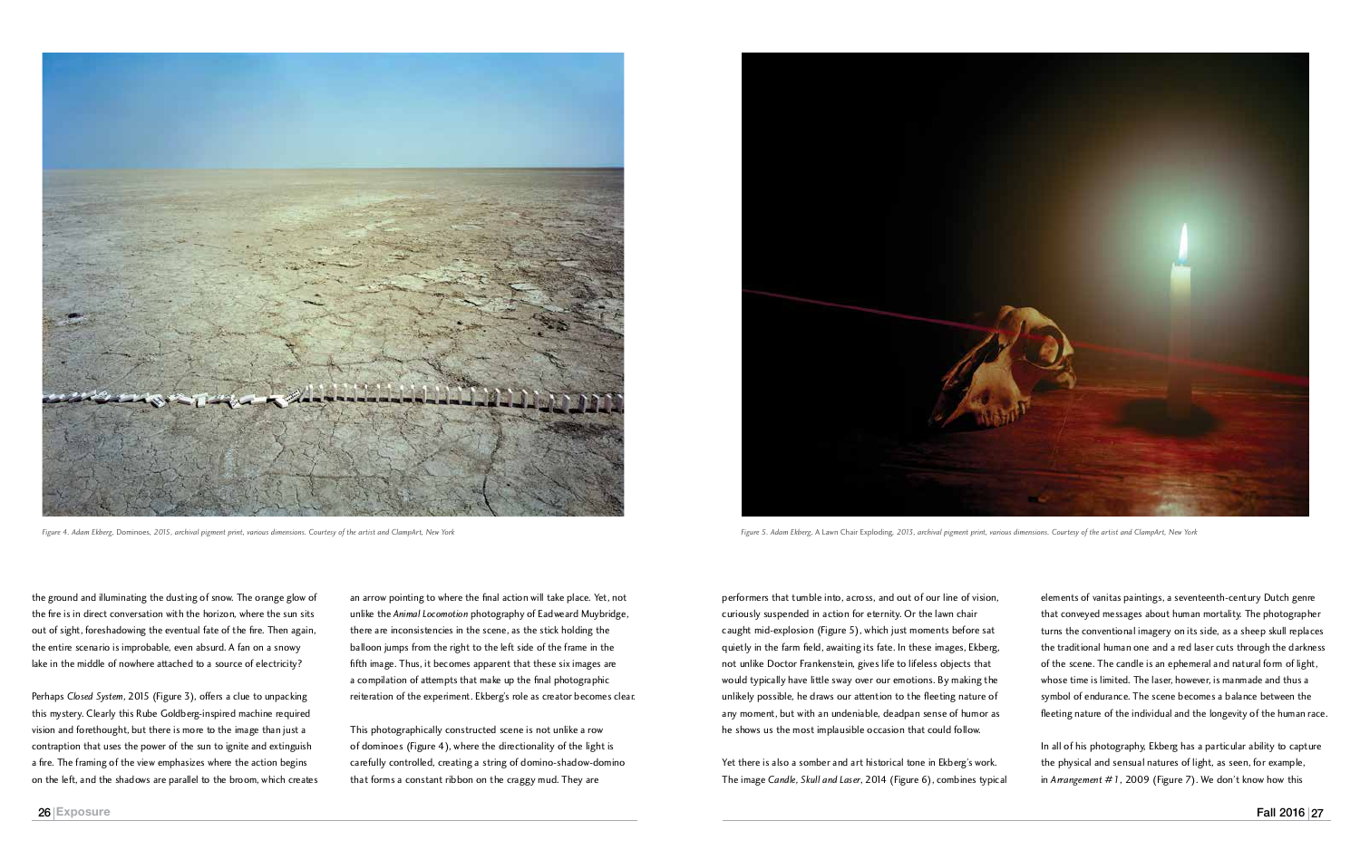performers that tumble into, across, and out of our line of vision, curiously suspended in action for eternity. Or the lawn chair caught mid-explosion (Figure 5), which just moments before sat quietly in the farm field, awaiting its fate. In these images, Ekberg, not unlike Doctor Frankenstein, gives life to lifeless objects that would typically have little sway over our emotions. By making the unlikely possible, he draws our attention to the fleeting nature of any moment, but with an undeniable, deadpan sense of humor as he shows us the most implausible occasion that could follow.

Yet there is also a somber and art historical tone in Ekberg's work. The image *Candle, Skull and Laser*, 2014 (Figure 6), combines typical

elements of vanitas paintings, a seventeenth-century Dutch genre that conveyed messages about human mortality. The photographer turns the conventional imagery on its side, as a sheep skull replaces the traditional human one and a red laser cuts through the darkness of the scene. The candle is an ephemeral and natural form of light,<br>whose time is limited. The laser, however, is manmade and thus a whose time is limited. The laser, however, is manmade and thus a symbol of endurance. The scene becomes a balance between the fleeting nature of the individual and the longevity of the human race.

In all of his photography, Ekberg has a particular ability to capture the physical and sensual natures of light, as seen, for example, in *Arrangement #1*, 2009 (Figure 7). We don't know how this



*Figure 5. Adam Ekberg,* A Lawn Chair Exploding*, 2013, archival pigment print, various dimensions. Courtesy of the artist and ClampArt, New York*

an arrow pointing to where the final action will take place. Yet, not unlike the *Animal Locomotion* photography of Eadweard Muybridge, there are inconsistencies in the scene, as the stick holding the balloon jumps from the right to the left side of the frame in the fifth image. Thus, it becomes apparent that these six images are a compilation of attempts that make up the final photographic reiteration of the experiment. Ekberg's role as creator becomes clear.

This photographically constructed scene is not unlike a row of dominoes (Figure 4), where the directionality of the light is carefully controlled, creating a string of domino-shadow-domino that forms a constant ribbon on the craggy mud. They are



Perhaps *Closed System*, 2015 (Figure 3), offers a clue to unpacking this mystery. Clearly this Rube Goldberg-inspired machine required vision and forethought, but there is more to the image than just a contraption that uses the power of the sun to ignite and extinguish a fire. The framing of the view emphasizes where the action begins on the left, and the shadows are parallel to the broom, which creates



*Figure 4. Adam Ekberg,* Dominoes*, 2015, archival pigment print, various dimensions. Courtesy of the artist and ClampArt, New York*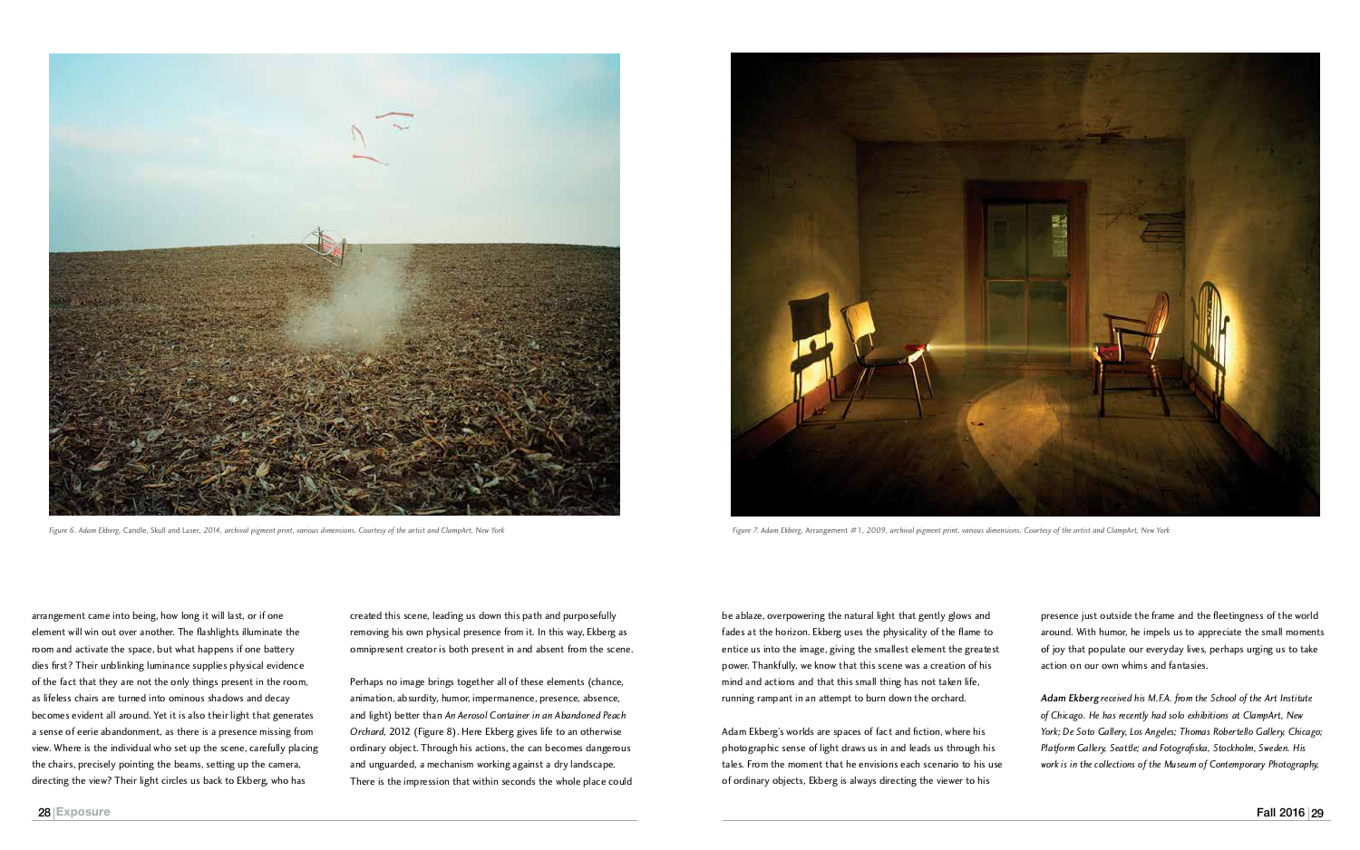be ablaze, overpowering the natural light that gently glows and fades at the horizon. Ekberg uses the physicality of the flame to entice us into the image, giving the smallest element the greatest power. Thankfully, we know that this scene was a creation of his mind and actions and that this small thing has not taken life, running rampant in an attempt to burn down the orchard.

Adam Ekberg's worlds are spaces of fact and fiction, where his photographic sense of light draws us in and leads us through his tales. From the moment that he envisions each scenario to his use of ordinary objects, Ekberg is always directing the viewer to his

presence just outside the frame and the fleetingness of the world around. With humor, he impels us to appreciate the small moments of joy that populate our everyday lives, perhaps urging us to take action on our own whims and fantasies.

*Adam Ekberg received his M.F.A. from the School of the Art Institute of Chicago. He has recently had solo exhibitions at ClampArt, New York; De Soto Gallery, Los Angeles; Thomas Robertello Gallery, Chicago; Platform Gallery, Seattle; and Fotografiska, Stockholm, Sweden. His work is in the collections of the Museum of Contemporary Photography,* 



*Figure 7. Adam Ekberg,* Arrangement #1*, 2009, archival pigment print, various dimensions. Courtesy of the artist and ClampArt, New York*

arrangement came into being, how long it will last, or if one element will win out over another. The flashlights illuminate the room and activate the space, but what happens if one battery dies first? Their unblinking luminance supplies physical evidence of the fact that they are not the only things present in the room, as lifeless chairs are turned into ominous shadows and decay becomes evident all around. Yet it is also their light that generates a sense of eerie abandonment, as there is a presence missing from view. Where is the individual who set up the scene, carefully placing the chairs, precisely pointing the beams, setting up the camera, directing the view? Their light circles us back to Ekberg, who has

created this scene, leading us down this path and purposefully removing his own physical presence from it. In this way, Ekberg as omnipresent creator is both present in and absent from the scene.

Perhaps no image brings together all of these elements (chance, animation, absurdity, humor, impermanence, presence, absence, and light) better than *An Aerosol Container in an Abandoned Peach Orchard*, 2012 (Figure 8). Here Ekberg gives life to an otherwise ordinary object. Through his actions, the can becomes dangerous and unguarded, a mechanism working against a dry landscape. There is the impression that within seconds the whole place could



*Figure 6. Adam Ekberg,* Candle, Skull and Laser*, 2014, archival pigment print, various dimensions. Courtesy of the artist and ClampArt, New York*